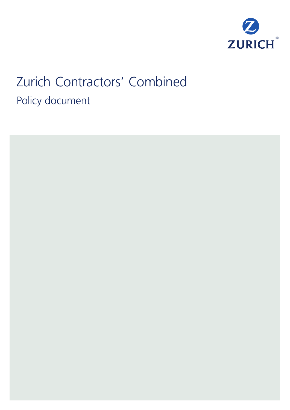

# Zurich Contractors' Combined Policy document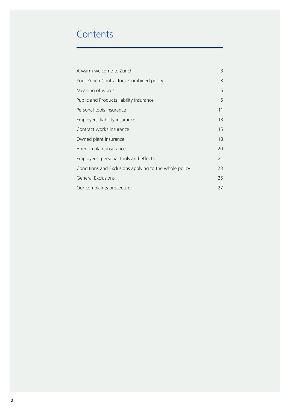# **Contents**

| A warm welcome to Zurich                               | 3  |
|--------------------------------------------------------|----|
| Your Zurich Contractors' Combined policy               | 3  |
| Meaning of words                                       | 5  |
| Public and Products liability insurance                | 5  |
| Personal tools insurance                               | 11 |
| Employers' liability insurance                         | 13 |
| Contract works insurance                               | 15 |
| Owned plant insurance                                  | 18 |
| Hired-in plant insurance                               | 20 |
| Employees' personal tools and effects                  | 21 |
| Conditions and Exclusions applying to the whole policy | 23 |
| <b>General Exclusions</b>                              |    |
| Our complaints procedure                               |    |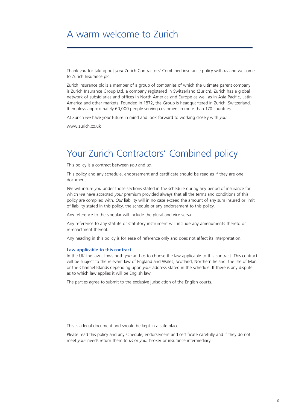# A warm welcome to Zurich

Thank *you* for taking out *your* Zurich Contractors' Combined insurance policy with *us* and welcome to Zurich Insurance plc.

Zurich Insurance plc is a member of a group of companies of which the ultimate parent company is Zurich Insurance Group Ltd, a company registered in Switzerland (Zurich). Zurich has a global network of subsidiaries and offices in North America and Europe as well as in Asia Pacific, Latin America and other markets. Founded in 1872, the Group is headquartered in Zurich, Switzerland. It employs approximately 60,000 people serving customers in more than 170 countries.

At Zurich *we* have *your* future in mind and look forward to working closely with *you*.

www.zurich.co.uk

# Your Zurich Contractors' Combined policy

This policy is a contract between *you* and *us*.

This policy and any schedule, endorsement and certificate should be read as if they are one document.

*We* will insure *you* under those sections stated in the schedule during any period of insurance for which *we* have accepted *your* premium provided always that all the terms and conditions of this policy are complied with. *Our* liability will in no case exceed the amount of any sum insured or limit of liability stated in this policy, the schedule or any endorsement to this policy.

Any reference to the singular will include the plural and vice versa.

Any reference to any statute or statutory instrument will include any amendments thereto or re-enactment thereof.

Any heading in this policy is for ease of reference only and does not affect its interpretation.

#### **Law applicable to this contract**

In the UK the law allows both *you* and *us* to choose the law applicable to this contract. This contract will be subject to the relevant law of England and Wales, Scotland, Northern Ireland, the Isle of Man or the Channel Islands depending upon *your* address stated in the schedule. If there is any dispute as to which law applies it will be English law.

The parties agree to submit to the exclusive jurisdiction of the English courts.

This is a legal document and should be kept in a safe place.

Please read this policy and any schedule, endorsement and certificate carefully and if they do not meet *your* needs return them to *us* or *your* broker or insurance intermediary.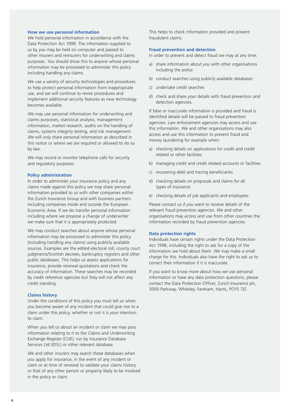#### **How we use personal information**

*We* hold personal information in accordance with the Data Protection Act 1998. The information supplied to *us* by *you* may be held on computer and passed to other insurers and reinsurers for underwriting and claims purposes. *You* should show this to anyone whose personal information may be processed to administer this policy including handling any claims.

*We* use a variety of security technologies and procedures to help protect personal information from inappropriate use, and *we* will continue to revise procedures and implement additional security features as new technology becomes available.

*We* may use personal information for underwriting and claims purposes, statistical analysis, management information, market research, audits on the handling of claims, systems integrity testing, and risk management. *We* will only share personal information as described in this notice or where *we* are required or allowed to do so by law.

*We* may record or monitor telephone calls for security and regulatory purposes.

#### **Policy administration**

In order to administer *your* insurance policy and any claims made against this policy *we* may share personal information provided to *us* with other companies within the Zurich Insurance Group and with business partners including companies inside and outside the European Economic Area. If *we* do transfer personal information including where *we* propose a change of underwriter *we* make sure that it is appropriately protected.

*We* may conduct searches about anyone whose personal information may be processed to administer this policy (including handling any claims) using publicly available sources. Examples are the edited electoral roll, county court judgments/Scottish decrees, bankruptcy registers and other public databases. This helps *us* assess applications for insurance, provide renewal quotations and check the accuracy of information. These searches may be recorded by credit reference agencies but they will not affect any credit standing.

#### **Claims history**

Under the conditions of this policy *you* must tell *us* when *you* become aware of any incident that could give rise to a claim under this policy, whether or not it is *your* intention to claim.

When *you* tell *us* about an incident or claim *we* may pass information relating to it to the Claims and Underwriting Exchange Register (CUE), run by Insurance Database Services Ltd (IDSL) or other relevant database.

*We* and other insurers may search these databases when *you* apply for insurance, in the event of any incident or claim or at time of renewal to validate your claims history or that of any other person or property likely to be involved in the policy or claim.

This helps to check information provided and prevent fraudulent claims.

#### **Fraud prevention and detection**

In order to prevent and detect fraud *we* may at any time:

- a) share information about *you* with other organisations including the police
- b) conduct searches using publicly available databases
- c) undertake credit searches
- d) check and share *your* details with fraud prevention and detection agencies.

If false or inaccurate information is provided and fraud is identified details will be passed to fraud prevention agencies. Law enforcement agencies may access and use this information. *We* and other organisations may also access and use this information to prevent fraud and money laundering for example when:

- a) checking details on applications for credit and credit related or other facilities
- b) managing credit and credit related accounts or facilities
- c) recovering debt and tracing beneficiaries
- d) checking details on proposals and claims for all types of insurance
- e) checking details of job applicants and employees.

Please contact *us* if *you* want to receive details of the relevant fraud prevention agencies. *We* and other organisations may access and use from other countries the information recorded by fraud prevention agencies.

#### **Data protection rights**

Individuals have certain rights under the Data Protection Act 1998, including the right to ask for a copy of the information *we* hold about them. *We* may make a small charge for this. Individuals also have the right to ask *us* to correct their information if it is inaccurate.

If *you* want to know more about how *we* use personal information or have any data protection questions, please contact the Data Protection Officer, Zurich Insurance plc, 3000 Parkway, Whiteley, Fareham, Hants, PO15 7JZ.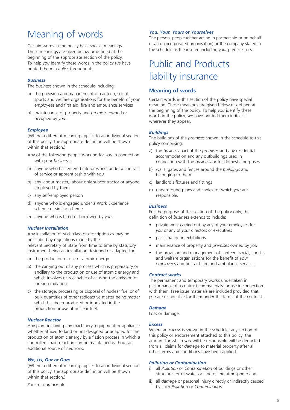# Meaning of words

Certain words in the policy have special meanings. These meanings are given below or defined at the beginning of the appropriate section of the policy. To help *you* identify these words in the policy *we* have printed them in *italics* throughout.

#### *Business*

The *business* shown in the schedule including:

- a) the provision and management of canteen, social, sports and welfare organisations for the benefit of *your employees* and first aid, fire and ambulance services
- b) maintenance of property and *premises* owned or occupied by *you*.

#### *Employee*

(Where a different meaning applies to an individual section of this policy, the appropriate definition will be shown within that section.)

- Any of the following people working for *you* in connection with *your business*:
- a) anyone who has entered into or works under a contract of service or apprenticeship with *you*
- b) any labour master, labour only subcontractor or anyone employed by them
- c) any self-employed person
- d) anyone who is engaged under a Work Experience scheme or similar scheme
- e) anyone who is hired or borrowed by *you*.

#### *Nuclear Installation*

Any installation of such class or description as may be prescribed by regulations made by the relevant Secretary of State from time to time by statutory instrument being an installation designed or adapted for:

- a) the production or use of atomic energy
- b) the carrying out of any process which is preparatory or ancillary to the production or use of atomic energy and which involves or is capable of causing the emission of ionising radiation
- c) the storage, processing or disposal of nuclear fuel or of bulk quantities of other radioactive matter being matter which has been produced or irradiated in the production or use of nuclear fuel.

#### *Nuclear Reactor*

Any plant including any machinery, equipment or appliance whether affixed to land or not designed or adapted for the production of atomic energy by a fission process in which a controlled chain reaction can be maintained without an additional source of neutrons.

## *We, Us, Our or Ours*

(Where a different meaning applies to an individual section of this policy, the appropriate definition will be shown within that section.)

Zurich Insurance plc.

#### *You, Your, Yours* **or** *Yourselves*

The person, people (either acting in partnership or on behalf of an unincorporated organisation) or the company stated in the schedule as the insured including *your* predecessors.

# Public and Products liability insurance

## **Meaning of words**

Certain words in this section of the policy have special meaning. These meanings are given below or defined at the beginning of the policy. To help *you* identify these words in the policy, *we* have printed them in italics wherever they appear.

#### *Buildings*

The buildings of the *premises* shown in the schedule to this policy comprising:

- a) the *business* part of the *premises* and any residential accommodation and any outbuildings used in connection with the *business* or for domestic purposes
- b) walls, gates and fences around the *buildings* and belonging to them
- c) landlord's fixtures and fittings
- d) underground pipes and cables for which *you* are responsible.

#### *Business*

For the purpose of this section of the policy only, the definition of *business* extends to include:

- private work carried out by any of *your* employees for *you* or any of *your* directors or executives
- participation in exhibitions
- maintenance of property and *premises* owned by *you*
- the provision and management of canteen, social, sports and welfare organisations for the benefit of *your employees* and first aid, fire and ambulance services.

#### *Contract works*

The permanent and temporary works undertaken in performance of a contract and materials for use in connection with them. Free issue materials are included provided that *you* are responsible for them under the terms of the contract.

#### *Damage*

Loss or damage.

#### *Excess*

Where an *excess* is shown in the schedule, any section of this policy or endorsement attached to this policy, the amount for which *you* will be responsible will be deducted from all claims for *damage* to material property after all other terms and conditions have been applied.

## *Pollution or Contamination*

- i) all *Pollution or Contamination* of buildings or other structures or of water or land or the atmosphere and
- ii) all *damage* or personal injury directly or indirectly caused by such *Pollution* or *Contamination*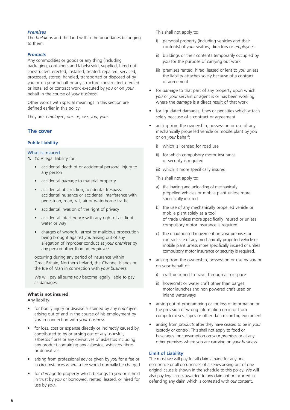## *Premises*

The *buildings* and the land within the boundaries belonging to them.

#### *Products*

Any commodities or goods or any thing (including packaging, containers and labels) sold, supplied, hired out, constructed, erected, installed, treated, repaired, serviced, processed, stored, handled, transported or disposed of by *you* or on *your* behalf or any structure constructed, erected or installed or contract work executed by *you* or on *your* behalf in the course of *your business*.

Other words with special meanings in this section are defined earlier in this policy.

They are: *employee, our, us, we, you, your.*

## **The cover**

## **Public Liability**

## What is insured

**1.** *Your* legal liability for:

- accidental death of or accidental personal injury to any person
- accidental *damage* to material property
- accidental obstruction, accidental trespass, accidental nuisance or accidental interference with pedestrian, road, rail, air or waterborne traffic
- accidental invasion of the right of privacy
- accidental interference with any right of air, light, water or way
- charges of wrongful arrest or malicious prosecution being brought against *you* arising out of any allegation of improper conduct at *your premises* by any person other than an *employee*

occurring during any period of insurance within Great Britain, Northern Ireland, the Channel Islands or the Isle of Man in connection with *your business*.

*We* will pay all sums *you* become legally liable to pay as damages.

## **What is not insured**

Any liability:

- for bodily injury or disease sustained by any *employee* arising out of and in the course of his employment by *you* in connection with *your business*
- for loss, cost or expense directly or indirectly caused by, contributed to by or arising out of any asbestos, asbestos fibres or any derivatives of asbestos including any product containing any asbestos, asbestos fibres or derivatives
- arising from professional advice given by *you* for a fee or in circumstances where a fee would normally be charged
- for *damage* to property which belongs to *you* or is held in trust by *you* or borrowed, rented, leased, or hired for use by *you*.

This shall not apply to:

- i) personal property (including vehicles and their contents) of *your* visitors, directors or *employees*
- ii) buildings or their contents temporarily occupied by *you* for the purpose of carrying out work
- iii) premises rented, hired, leased or lent to *you* unless the liability attaches solely because of a contract or agreement
- for *damage* to that part of any property upon which *you* or *your* servant or agent is or has been working where the *damage* is a direct result of that work
- for liquidated damages, fines or penalties which attach solely because of a contract or agreement
- arising from the ownership, possession or use of any mechanically propelled vehicle or mobile plant by *you* or on *your* behalf:
	- i) which is licensed for road use
	- ii) for which compulsory motor insurance or security is required
	- iii) which is more specifically insured.

This shall not apply to:

- a) the loading and unloading of mechanically propelled vehicles or mobile plant unless more specifically insured
- b) the use of any mechanically propelled vehicle or mobile plant solely as a tool of trade unless more specifically insured or unless compulsory motor insurance is required
- c) the unauthorised movement on *your* premises or contract site of any mechanically propelled vehicle or mobile plant unless more specifically insured or unless compulsory motor insurance or security is required.
- arising from the ownership, possession or use by *you* or on *your* behalf of:
	- i) craft designed to travel through air or space
	- ii) hovercraft or water craft other than barges, motor launches and non powered craft used on inland waterways
- arising out of programming or for loss of information or the provision of wrong information on in or from computer discs, tapes or other data recording equipment
- arising from *products* after they have ceased to be in *your* custody or control. This shall not apply to food or beverages for consumption on *your premises* or at any other premises where *you* are carrying on *your business*.

#### **Limit of Liability**

The most *we* will pay for all claims made for any one occurrence or all occurrences of a series arising out of one original cause is shown in the schedule to this policy. *We* will also pay legal costs awarded to any claimant or incurred in defending any claim which is contested with *our* consent.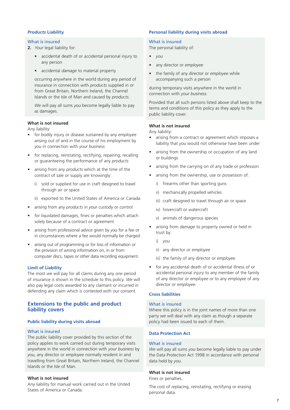## *Products* **Liability**

#### What is insured

- **2.** *Your* legal liability for:
	- accidental death of or accidental personal injury to any person
	- accidental *damage* to material property

occurring anywhere in the world during any period of insurance in connection with *products* supplied in or from Great Britain, Northern Ireland, the Channel Islands or the Isle of Man and caused by *products*.

*We* will pay all sums *you* become legally liable to pay as damages.

## **What is not insured**

Any liability:

- for bodily injury or disease sustained by any *employee* arising out of and in the course of his employment by *you* in connection with *your business*
- for replacing, reinstating, rectifying, repairing, recalling or guaranteeing the performance of any *products*
- arising from any *products* which at the time of the contract of sale or supply are knowingly:
	- i) sold or supplied for use in craft designed to travel through air or space
	- ii) exported to the United States of America or Canada
- arising from any *products* in *your* custody or control
- for liquidated damages, fines or penalties which attach solely because of a contract or agreement
- arising from professional advice given by *you* for a fee or in circumstances where a fee would normally be charged
- arising out of programming or for loss of information or the provision of wrong information on, in or from computer discs, tapes or other data recording equipment.

## **Limit of Liability**

The most *we* will pay for all claims during any one period of insurance is shown in the schedule to this policy. *We* will also pay legal costs awarded to any claimant or incurred in defending any claim which is contested with *our* consent.

## **Extensions to the public and product liability covers**

## **Public liability during visits abroad**

## What is insured

The public liability cover provided by this section of the policy applies to work carried out during temporary visits anywhere in the world in connection with *your business* by *you*, any director or *employee* normally resident in and travelling from Great Britain, Northern Ireland, the Channel Islands or the Isle of Man.

#### **What is not insured**

Any liability for manual work carried out in the United States of America or Canada.

## **Personal liability during visits abroad**

## What is insured

The personal liability of:

- *• you*
- any director or *employee*
- the family of any director or *employee* while accompanying such a person

during temporary visits anywhere in the world in connection with *your business*.

Provided that all such persons listed above shall keep to the terms and conditions of this policy as they apply to the public liability cover.

## **What is not insured**

Any liability:

- *•* arising from a contract or agreement which imposes a liability that *you* would not otherwise have been under
- *•* arising from the ownership or occupation of any land or buildings
- *•* arising from the carrying on of any trade or profession
- *•* arising from the ownership, use or possession of:
	- i) firearms other than sporting guns
	- ii) mechanically propelled vehicles
	- iii) craft designed to travel through air or space
	- iv) hovercraft or watercraft
	- v) animals of dangerous species
- *•* arising from *damage* to property owned or held in trust by:
	- i) *you*
	- ii) any director or *employee*
	- iii) the family of any director or *employee*
- *•* for any accidental death of or accidental illness of or accidental personal injury to any member of the family of any director or *employee* or to any employee of any director or *employee*.

## **Cross liabilities**

#### What is insured

Where this policy is in the joint names of more than one party *we* will deal with any claim as though a separate policy had been issued to each of them.

## **Data Protection Act**

#### What is insured

*We* will pay all sums *you* become legally liable to pay under the Data Protection Act 1998 in accordance with personal data held by *you*.

## **What is not insured**

Fines or penalties.

The cost of replacing, reinstating, rectifying or erasing personal data.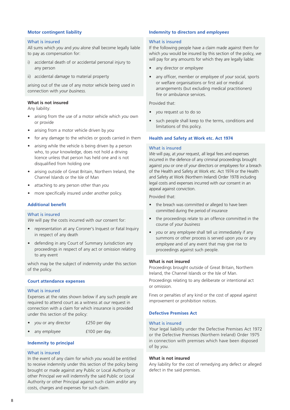#### **Motor contingent liability**

## What is insured

All sums which *you* and *you* alone shall become legally liable to pay as compensation for:

- i) accidental death of or accidental personal injury to any person
- ii) accidental *damage* to material property

arising out of the use of any motor vehicle being used in connection with *your business*.

## **What is not insured**

Any liability:

- arising from the use of a motor vehicle which *you* own or provide
- arising from a motor vehicle driven by *you*
- for any *damage* to the vehicles or goods carried in them
- arising while the vehicle is being driven by a person who, to *your* knowledge, does not hold a driving licence unless that person has held one and is not disqualified from holding one
- arising outside of Great Britain, Northern Ireland, the Channel Islands or the Isle of Man
- attaching to any person other than *you*
- more specifically insured under another policy.

#### **Additional benefit**

#### What is insured

*We* will pay the costs incurred with *our* consent for:

- representation at any Coroner's Inquest or Fatal Inquiry in respect of any death
- defending in any Court of Summary Jurisdiction any proceedings in respect of any act or omission relating to any event

which may be the subject of indemnity under this section of the policy.

## **Court attendance expenses**

#### What is insured

Expenses at the rates shown below if any such people are required to attend court as a witness at *our* request in connection with a claim for which insurance is provided under this section of the policy:

- *you* or any director **£250** per day
- any *employee* **100** per day.

## **Indemnity to principal**

#### What is insured

In the event of any claim for which *you* would be entitled to receive indemnity under this section of the policy being brought or made against any Public or Local Authority or other Principal *we* will indemnify the said Public or Local Authority or other Principal against such claim and/or any costs, charges and expenses for such claim.

#### **Indemnity to directors and** *employees*

#### What is insured

If the following people have a claim made against them for which *you* would be insured by this section of the policy, *we* will pay for any amounts for which they are legally liable:

- any director or *employee*
- any officer, member or *employee* of *your* social, sports or welfare organisations or first aid or medical arrangements (but excluding medical practitioners) fire or ambulance services.

## Provided that:

- *• you* request *us* to do so
- such people shall keep to the terms, conditions and limitations of this policy.

## **Health and Safety at Work etc. Act 1974**

#### What is insured

*We* will pay, at *your* request, all legal fees and expenses incurred in the defence of any criminal proceedings brought against *you* or one of *your* directors or *employees* for a breach of the Health and Safety at Work etc. Act 1974 or the Health and Safety at Work (Northern Ireland) Order 1978 including legal costs and expenses incurred with *our* consent in an appeal against conviction.

Provided that:

- the breach was committed or alleged to have been committed during the period of insurance
- the proceedings relate to an offence committed in the course of *your business*
- *you* or any *employee* shall tell *us* immediately if any summons or other process is served upon *you* or any *employee* and of any event that may give rise to proceedings against such people.

#### **What is not insured**

Proceedings brought outside of Great Britain, Northern Ireland, the Channel Islands or the Isle of Man.

Proceedings relating to any deliberate or intentional act or omission.

Fines or penalties of any kind or the cost of appeal against improvement or prohibition notices.

## **Defective Premises Act**

#### What is insured

*Your* legal liability under the Defective Premises Act 1972 or the Defective Premises (Northern Ireland) Order 1975 in connection with premises which have been disposed of by *you*.

#### **What is not insured**

Any liability for the cost of remedying any defect or alleged defect in the said premises.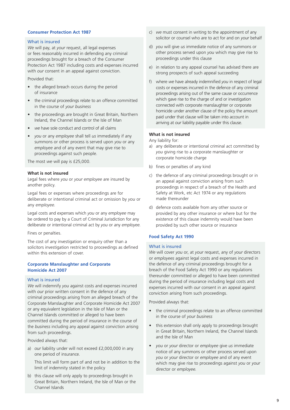## **Consumer Protection Act 1987**

#### What is insured

*We* will pay, at *your* request, all legal expenses or fees reasonably incurred in defending any criminal proceedings brought for a breach of the Consumer Protection Act 1987 including costs and expenses incurred with *our* consent in an appeal against conviction.

Provided that:

- the alleged breach occurs during the period of insurance
- the criminal proceedings relate to an offence committed in the course of *your business*
- the proceedings are brought in Great Britain, Northern Ireland, the Channel Islands or the Isle of Man
- *we* have sole conduct and control of all claims
- *you* or any *employee* shall tell *us* immediately if any summons or other process is served upon *you* or any *employee* and of any event that may give rise to proceedings against such people.

The most *we* will pay is £25,000.

#### **What is not insured**

Legal fees where *you* or *your employee* are insured by another policy.

Legal fees or expenses where proceedings are for deliberate or intentional criminal act or omission by *you* or any *employee*.

Legal costs and expenses which *you* or any *employee* may be ordered to pay by a Court of Criminal Jurisdiction for any deliberate or intentional criminal act by *you* or any *employee*.

Fines or penalties.

The cost of any investigation or enquiry other than a solicitors investigation restricted to proceedings as defined within this extension of cover.

## **Corporate Manslaughter and Corporate Homicide Act 2007**

#### What is insured

*We* will indemnify *you* against costs and expenses incurred with *our* prior written consent in the defence of any criminal proceedings arising from an alleged breach of the Corporate Manslaughter and Corporate Homicide Act 2007 or any equivalent legislation in the Isle of Man or the Channel Islands committed or alleged to have been committed during the period of insurance in the course of the *business* including any appeal against conviction arising from such proceedings.

Provided always that:

a) *our* liability under will not exceed £2,000,000 in any one period of insurance.

This limit will form part of and not be in addition to the limit of indemnity stated in the policy

b) this clause will only apply to proceedings brought in Great Britain, Northern Ireland, the Isle of Man or the Channel Islands

- c) *we* must consent in writing to the appointment of any solicitor or counsel who are to act for and on *your* behalf
- d) *you* will give *us* immediate notice of any summons or other process served upon *you* which may give rise to proceedings under this clause
- e) in relation to any appeal counsel has advised there are strong prospects of such appeal succeeding
- f) where *we* have already indemnified *you* in respect of legal costs or expenses incurred in the defence of any criminal proceedings arising out of the same cause or occurrence which gave rise to the charge of and or investigation connected with corporate manslaughter or corporate homicide under another clause of the policy the amount paid under that clause will be taken into account in arriving at *our* liability payable under this clause.

## **What is not insured**

Any liability for:

- a) any deliberate or intentional criminal act committed by *you* giving rise to a corporate manslaughter or corporate homicide charge
- b) fines or penalties of any kind
- c) the defence of any criminal proceedings brought or in an appeal against conviction arising from such proceedings in respect of a breach of the Health and Safety at Work, etc Act 1974 or any regulations made thereunder
- d) defence costs available from any other source or provided by any other insurance or where but for the existence of this clause indemnity would have been provided by such other source or insurance

## **Food Safety Act 1990**

#### What is insured

*We* will cover *you* or, at *your* request, any of *your* directors or *employees* against legal costs and expenses incurred in the defence of any criminal proceedings brought for a breach of the Food Safety Act 1990 or any regulations thereunder committed or alleged to have been committed during the period of insurance including legal costs and expenses incurred with *our* consent in an appeal against conviction arising from such proceedings.

Provided always that:

- the criminal proceedings relate to an offence committed in the course of *your business*
- this extension shall only apply to proceedings brought in Great Britain, Northern Ireland, the Channel Islands and the Isle of Man
- *you* or *your* director or *employee* give *us* immediate notice of any summons or other process served upon *you* or *your* director or *employee* and of any event which may give rise to proceedings against *you* or *your* director or *employee.*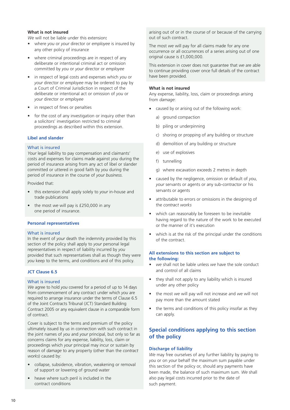## **What is not insured**

*We* will not be liable under this extension**:**

- where *you* or *your* director or *employee* is insured by any other policy of insurance
- where criminal proceedings are in respect of any deliberate or intentional criminal act or omission committed by *you* or *your* director or *employee*
- in respect of legal costs and expenses which *you* or *your* director or *employee* may be ordered to pay by a Court of Criminal Jurisdiction in respect of the deliberate or intentional act or omission of *you* or *your* director or *employee*
- in respect of fines or penalties
- for the cost of any investigation or inquiry other than a solicitors' investigation restricted to criminal proceedings as described within this extension.

## **Libel and slander**

## What is insured

*Your* legal liability to pay compensation and claimants' costs and expenses for claims made against *you* during the period of insurance arising from any act of libel or slander committed or uttered in good faith by *you* during the period of insurance in the course of *your business*.

Provided that:

- this extension shall apply solely to *your* in-house and trade publications
- the most *we* will pay is £250,000 in any one period of insurance.

#### **Personal representatives**

#### What is insured

In the event of *your* death the indemnity provided by this section of the policy shall apply to *your* personal legal representatives in respect of liability incurred by *you* provided that such representatives shall as though they were *you* keep to the terms, and conditions and of this policy.

#### **JCT Clause 6.5**

## What is insured

*We* agree to hold *you* covered for a period of up to 14 days from commencement of any contract under which *you* are required to arrange insurance under the terms of Clause 6.5 of the Joint Contracts Tribunal (JCT) Standard Building Contract 2005 or any equivalent clause in a comparable form of contract.

Cover is subject to the terms and premium of the policy ultimately issued by *us* in connection with such contract in the joint names of *you* and *your* principal, but only so far as concerns claims for any expense, liability, loss, claim or proceedings which *your* principal may incur or sustain by reason of *damage* to any property (other than the *contract works*) caused by:

- collapse, subsidence, vibration, weakening or removal of support or lowering of ground water
- heave where such peril is included in the contract conditions

arising out of or in the course of or because of the carrying out of such contract.

The most *we* will pay for all claims made for any one occurrence or all occurrences of a series arising out of one original cause is £1,000,000.

This extension in cover does not guarantee that *we* are able to continue providing cover once full details of the contract have been provided.

#### **What is not insured**

Any expense, liability, loss, claim or proceedings arising from *damage*:

- caused by or arising out of the following work:
	- a) ground compaction
	- b) piling or underpinning
	- c) shoring or propping of any building or structure
	- d) demolition of any building or structure
	- e) use of explosives
	- f) tunnelling
	- g) where excavation exceeds 2 metres in depth
- caused by the negligence, omission or default of *you*, *your* servants or agents or any sub-contractor or his servants or agents
- attributable to errors or omissions in the designing of the *contract works*
- which can reasonably be foreseen to be inevitable having regard to the nature of the work to be executed or the manner of it's execution
- which is at the risk of the principal under the conditions of the contract.

## **All extensions to this section are subject to the following:**

- *• we* shall not be liable unless *we* have the sole conduct and control of all claims
- they shall not apply to any liability which is insured under any other policy
- the most *we* will pay will not increase and *we* will not pay more than the amount stated
- the terms and conditions of this policy insofar as they can apply.

## **Special conditions applying to this section of the policy**

#### **Discharge of liability**

*We* may free ourselves of any further liability by paying to *you* or on *your* behalf the maximum sum payable under this section of the policy or, should any payments have been made, the balance of such maximum sum. *We* shall also pay legal costs incurred prior to the date of such payment.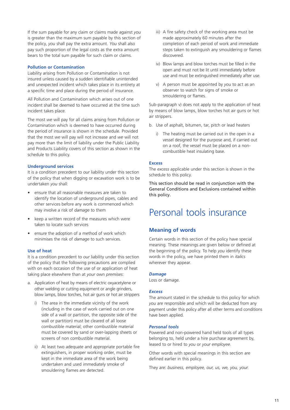If the sum payable for any claim or claims made against *you* is greater than the maximum sum payable by this section of the policy, *you* shall pay the extra amount. *You* shall also pay such proportion of the legal costs as the extra amount bears to the total sum payable for such claim or claims.

## **Pollution or Contamination**

Liability arising from Pollution or Contamination is not insured unless caused by a sudden identifiable unintended and unexpected incident which takes place in its entirety at a specific time and place during the period of insurance.

All Pollution and Contamination which arises out of one incident shall be deemed to have occurred at the time such incident takes place.

The most *we* will pay for all claims arising from Pollution or Contamination which is deemed to have occurred during the period of insurance is shown in the schedule. Provided that the most *we* will pay will not increase and *we* will not pay more than the limit of liability under the Public Liability and Products Liability covers of this section as shown in the schedule to this policy.

#### **Underground services**

It is a condition precedent to *our* liability under this section of the policy that when digging or excavation work is to be undertaken *you* shall:

- ensure that all reasonable measures are taken to identify the location of underground pipes, cables and other services before any work is commenced which may involve a risk of *damage* to them
- keep a written record of the measures which were taken to locate such services
- ensure the adoption of a method of work which minimises the risk of *damage* to such services.

#### **Use of heat**

It is a condition precedent to *our* liability under this section of the policy that the following precautions are complied with on each occasion of the use of or application of heat taking place elsewhere than at *your* own *premises*:

- a. Application of heat by means of electric oxyacetylene or other welding or cutting equipment or angle grinders, blow lamps, blow torches, hot air guns or hot air strippers
	- i) The area in the immediate vicinity of the work (including in the case of work carried out on one side of a wall or partition, the opposite side of the wall or partition) must be cleared of all loose combustible material; other combustible material must be covered by sand or over-lapping sheets or screens of non combustible material.
	- ii) At least two adequate and appropriate portable fire extinguishers, in proper working order, must be kept in the immediate area of the work being undertaken and used immediately smoke of smouldering flames are detected.
- iii) A fire safety check of the working area must be made approximately 60 minutes after the completion of each period of work and immediate steps taken to extinguish any smouldering or flames discovered.
- iv) Blow lamps and blow torches must be filled in the open and must not be lit until immediately before use and must be extinguished immediately after use.
- v) A person must be appointed by *you* to act as an observer to watch for signs of smoke or smouldering or flames.

Sub-paragraph v) does not apply to the application of heat by means of blow lamps, blow torches hot air guns or hot air strippers.

- b. Use of asphalt, bitumen, tar, pitch or lead heaters
	- i) The heating must be carried out in the open in a vessel designed for the purpose and, if carried out on a roof, the vessel must be placed on a noncombustible heat insulating base.

#### **Excess**

The *excess* applicable under this section is shown in the schedule to this policy.

This section should be read in conjunction with the General Conditions and Exclusions contained within this policy.

# Personal tools insurance

## **Meaning of words**

Certain words in this section of the policy have special meaning. These meanings are given below or defined at the beginning of the policy. To help *you* identify these words in the policy, *we* have printed them in *italics* wherever they appear.

#### *Damage*

Loss or damage.

#### *Excess*

The amount stated in the schedule to this policy for which *you* are responsible and which will be deducted from any payment under this policy after all other terms and conditions have been applied.

#### *Personal tools*

Powered and non-powered hand held tools of all types belonging to, held under a hire purchase agreement by, leased to or hired to *you* or *your employee*.

Other words with special meanings in this section are defined earlier in this policy.

They are: *business, employee, our, us, we, you, your.*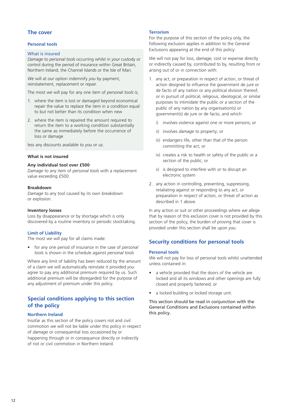## **The cover**

## **Personal tools**

#### What is insured

*Damage* to *personal tools* occurring whilst in *your* custody or control during the period of insurance within Great Britain, Northern Ireland, the Channel Islands or the Isle of Man.

*We* will at *our* option indemnify *you* by payment, reinstatement, replacement or repair.

The most *we* will pay for any one item of *personal tools* is;

- 1. where the item is lost or damaged beyond economical repair the value to replace the item in a condition equal to but not better than its condition when new
- 2. where the item is repaired the amount required to return the item to a working condition substantially the same as immediately before the occurrence of loss or damage

less any discounts available to *you* or *us*.

## **What is not insured**

#### **Any individual tool over £500**

*Damage* to any item of *personal tools* with a replacement value exceeding £500

#### **Breakdown**

*Damage* to any tool caused by its own breakdown or explosion.

#### **Inventory losses**

Loss by disappearance or by shortage which is only discovered by a routine inventory or periodic stocktaking.

#### **Limit of Liability**

The most *we* will pay for all claims made:

• for any one period of insurance in the case of *personal tools* is shown in the schedule against *personal tools*

Where any limit of liability has been reduced by the amount of a claim *we* will automatically reinstate it provided *you* agree to pay any additional premium required by us. Such additional premium will be disregarded for the purpose of any adjustment of premium under this policy.

## **Special conditions applying to this section of the policy**

## **Northern Ireland**

Insofar as this section of the policy covers riot and civil commotion *we* will not be liable under this policy in respect of *damage* or consequential loss occasioned by or happening through or in consequence directly or indirectly of riot or civil commotion in Northern Ireland.

#### **Terrorism**

For the purpose of this section of the policy only, the following exclusion applies in addition to the General Exclusions appearing at the end of this policy:

*We* will not pay for loss, *damage*, cost or expense directly or indirectly caused by, contributed to by, resulting from or arising out of or in connection with:

- 1. any act, or preparation in respect of action, or threat of action designed to influence the government de jure or de facto of any nation or any political division thereof, or in pursuit of political, religious, ideological, or similar purposes to intimidate the public or a section of the public of any nation by any organisation(s) or government(s) de jure or de facto, and which:
	- i) involves violence against one or more persons; or
	- ii) involves *damage* to property; or
	- iii) endangers life, other than that of the person committing the act; or
	- iv) creates a risk to health or safety of the public or a section of the public; or
	- v) is designed to interfere with or to disrupt an electronic system
- 2. any action in controlling, preventing, suppressing, retaliating against or responding to any act, or preparation in respect of action, or threat of action as described in 1 above.

In any action or suit or other proceedings where *we* allege that by reason of this exclusion cover is not provided by this section of the policy, the burden of proving that cover is provided under this section shall be upon *you*.

## **Security conditions for personal tools**

#### **Personal tools**

*We* will not pay for loss of personal tools whilst unattended unless contained in:

- a vehicle provided that the doors of the vehicle are locked and all its windows and other openings are fully closed and properly fastened; or
- a locked building or locked storage unit.

This section should be read in conjunction with the General Conditions and Exclusions contained within this policy.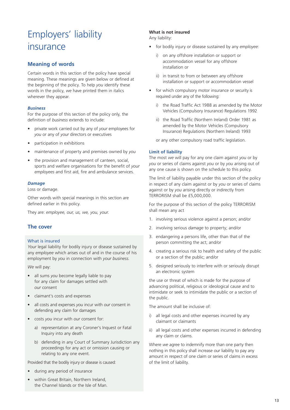# Employers' liability insurance

## **Meaning of words**

Certain words in this section of the policy have special meaning. These meanings are given below or defined at the beginning of the policy. To help *you* identify these words in the policy, *we* have printed them in italics wherever they appear.

## *Business*

For the purpose of this section of the policy only, the definition of *business* extends to include:

- private work carried out by any of *your* employees for *you* or any of *your* directors or executives
- participation in exhibitions
- maintenance of property and premises owned by *you*
- the provision and management of canteen, social, sports and welfare organisations for the benefit of *your employees* and first aid, fire and ambulance services.

## *Damage*

Loss or damage.

Other words with special meanings in this section are defined earlier in this policy.

They are: *employee, our, us, we, you, your.*

## **The cover**

## What is insured

*Your* legal liability for bodily injury or disease sustained by any *employee* which arises out of and in the course of his employment by *you* in connection with *your business.*

*We* will pay:

- all sums *you* become legally liable to pay for any claim for damages settled with *our* consent
- claimant's costs and expenses
- all costs and expenses *you* incur with *our* consent in defending any claim for damages
- costs *you* incur with *our* consent for:
	- a) representation at any Coroner's Inquest or Fatal Inquiry into any death
	- b) defending in any Court of Summary Jurisdiction any proceedings for any act or omission causing or relating to any one event.

Provided that the bodily injury or disease is caused:

- during any period of insurance
- within Great Britain, Northern Ireland, the Channel Islands or the Isle of Man.

## **What is not insured**

Any liability:

- for bodily injury or disease sustained by any *employee*:
	- i) on any offshore installation or support or accommodation vessel for any offshore installation or
	- ii) in transit to from or between any offshore installation or support or accommodation vessel
- for which compulsory motor insurance or security is required under any of the following:
	- i) the Road Traffic Act 1988 as amended by the Motor Vehicles (Compulsory Insurance) Regulations 1992
	- ii) the Road Traffic (Northern Ireland) Order 1981 as amended by the Motor Vehicles (Compulsory Insurance) Regulations (Northern Ireland) 1993
	- or any other compulsory road traffic legislation.

## **Limit of liability**

The most *we* will pay for any one claim against *you* or by *you* or series of claims against *you* or by *you* arising out of any one cause is shown on the schedule to this policy.

The limit of liability payable under this section of the policy in respect of any claim against or by *you* or series of claims against or by *you* arising directly or indirectly from TERRORISM shall be £5,000,000.

For the purpose of this section of the policy TERRORISM shall mean any act

- 1. involving serious violence against a person; and/or
- 2. involving serious *damage* to property; and/or
- 3. endangering a persons life, other than that of the person committing the act; and/or
- 4. creating a serious risk to health and safety of the public or a section of the public; and/or
- 5. designed seriously to interfere with or seriously disrupt an electronic system

the use or threat of which is made for the purpose of advancing political, religious or ideological cause and to intimidate or seek to intimidate the public or a section of the public.

The amount shall be inclusive of:

- i) all legal costs and other expenses incurred by any claimant or claimants
- ii) all legal costs and other expenses incurred in defending any claim or claims.

Where *we* agree to indemnify more than one party then nothing in this policy shall increase *our* liability to pay any amount in respect of one claim or series of claims in excess of the limit of liability.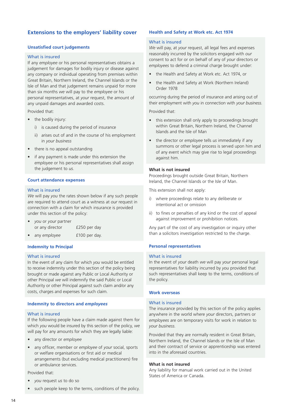## **Extensions to the employers' liability cover**

## **Unsatisfied court judgements**

#### What is insured

If any *employee* or his personal representatives obtains a judgement for damages for bodily injury or disease against any company or individual operating from premises within Great Britain, Northern Ireland, the Channel Islands or the Isle of Man and that judgement remains unpaid for more than six months *we* will pay to the *employee* or his personal representatives, at *your* request, the amount of any unpaid damages and awarded costs.

Provided that:

- the bodily injury:
	- i) is caused during the period of insurance
	- ii) arises out of and in the course of his employment in *your business*
- there is no appeal outstanding
- if any payment is made under this extension the *employee* or his personal representatives shall assign the judgement to *us*.

## **Court attendance expenses**

## What is insured

*We* will pay *you* the rates shown below if any such people are required to attend court as a witness at *our* request in connection with a claim for which insurance is provided under this section of the policy:

- *• you* or *your* partner or any director **£250** per day
- any *employee* **£100** per day.

#### **Indemnity to Principal**

#### What is insured

In the event of any claim for which *you* would be entitled to receive indemnity under this section of the policy being brought or made against any Public or Local Authority or other Principal *we* will indemnify the said Public or Local Authority or other Principal against such claim and/or any costs, charges and expenses for such claim.

#### **Indemnity to directors and** *employees*

#### What is insured

If the following people have a claim made against them for which *you* would be insured by this section of the policy, *we* will pay for any amounts for which they are legally liable:

- any director or *employee*
- any officer, member or *employee* of *your* social, sports or welfare organisations or first aid or medical arrangements (but excluding medical practitioners) fire or ambulance services.

Provided that:

- *• you* request *us* to do so
- such people keep to the terms, conditions of the policy.

## **Health and Safety at Work etc. Act 1974**

#### What is insured

*We* will pay, at *your* request, all legal fees and expenses reasonably incurred by the solicitors engaged with *our* consent to act for or on behalf of any of *your* directors or *employees* to defend a criminal charge brought under:

- the Health and Safety at Work etc. Act 1974, or
- the Health and Safety at Work (Northern Ireland) Order 1978

occurring during the period of insurance and arising out of their employment with *you* in connection with *your business*.

Provided that:

- this extension shall only apply to proceedings brought within Great Britain, Northern Ireland, the Channel Islands and the Isle of Man
- the director or *employee* tells *us* immediately if any summons or other legal process is served upon him and of any event which may give rise to legal proceedings against him.

#### **What is not insured**

Proceedings brought outside Great Britain, Northern Ireland, the Channel Islands or the Isle of Man.

This extension shall not apply:

- i) where proceedings relate to any deliberate or intentional act or omission
- ii) to fines or penalties of any kind or the cost of appeal against improvement or prohibition notices.

Any part of the cost of any investigation or inquiry other than a solicitors investigation restricted to the charge.

#### **Personal representatives**

#### What is insured

In the event of *your* death *we* will pay *your* personal legal representatives for liability incurred by *you* provided that such representatives shall keep to the terms, conditions of the policy.

## **Work overseas**

## What is insured

The insurance provided by this section of the policy applies anywhere in the world where *your* directors, partners or *employees* are on temporary visits for work in relation to *your business*.

Provided that they are normally resident in Great Britain, Northern Ireland, the Channel Islands or the Isle of Man and their contract of service or apprenticeship was entered into in the aforesaid countries.

## **What is not insured**

Any liability for manual work carried out in the United States of America or Canada.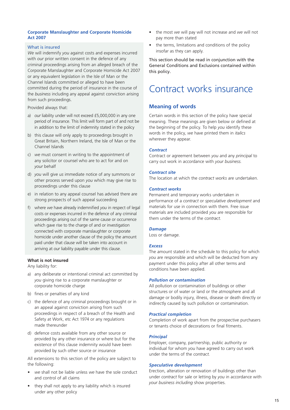## **Corporate Manslaughter and Corporate Homicide Act 2007**

## What is insured

*We* will indemnify *you* against costs and expenses incurred with *our* prior written consent in the defence of any criminal proceedings arising from an alleged breach of the Corporate Manslaughter and Corporate Homicide Act 2007 or any equivalent legislation in the Isle of Man or the Channel Islands committed or alleged to have been committed during the period of insurance in the course of the *business* including any appeal against conviction arising from such proceedings.

Provided always that:

- a) *our* liability under will not exceed £5,000,000 in any one period of insurance. This limit will form part of and not be in addition to the limit of indemnity stated in the policy
- b) this clause will only apply to proceedings brought in Great Britain, Northern Ireland, the Isle of Man or the Channel Islands
- c) *we* must consent in writing to the appointment of any solicitor or counsel who are to act for and on *your* behalf
- d) *you* will give *us* immediate notice of any summons or other process served upon *you* which may give rise to proceedings under this clause
- e) in relation to any appeal counsel has advised there are strong prospects of such appeal succeeding
- f) where *we* have already indemnified *you* in respect of legal costs or expenses incurred in the defence of any criminal proceedings arising out of the same cause or occurrence which gave rise to the charge of and or investigation connected with corporate manslaughter or corporate homicide under another clause of the policy the amount paid under that clause will be taken into account in arriving at *our* liability payable under this clause.

## **What is not insured**

Any liability for:

- a) any deliberate or intentional criminal act committed by *you* giving rise to a corporate manslaughter or corporate homicide charge
- b) fines or penalties of any kind
- c) the defence of any criminal proceedings brought or in an appeal against conviction arising from such proceedings in respect of a breach of the Health and Safety at Work, etc Act 1974 or any regulations made thereunder
- d) defence costs available from any other source or provided by any other insurance or where but for the existence of this clause indemnity would have been provided by such other source or insurance

All extensions to this section of the policy are subject to the following:

- *• we* shall not be liable unless *we* have the sole conduct and control of all claims
- they shall not apply to any liability which is insured under any other policy
- the most *we* will pay will not increase and *we* will not pay more than stated
- the terms, limitations and conditions of the policy insofar as they can apply.

This section should be read in conjunction with the General Conditions and Exclusions contained within this policy.

# Contract works insurance

## **Meaning of words**

Certain words in this section of the policy have special meaning. These meanings are given below or defined at the beginning of the policy. To help *you* identify these words in the policy, *we* have printed them in *italics* wherever they appear.

## *Contract*

Contract or agreement between *you* and any *principal* to carry out work in accordance with *your business.*

## *Contract site*

The location at which the *contract works* are undertaken.

## *Contract works*

Permanent and temporary works undertaken in performance of a *contract* or *speculative development* and materials for use in connection with them. Free issue materials are included provided *you* are responsible for them under the terms of the *contract*.

## *Damage*

Loss or damage.

## *Excess*

The amount stated in the schedule to this policy for which *you* are responsible and which will be deducted from any payment under this policy after all other terms and conditions have been applied.

#### *Pollution or contamination*

All pollution or contamination of buildings or other structures or of water or land or the atmosphere and all *damage* or bodily injury, illness, disease or death directly or indirectly caused by such pollution or contamination.

## *Practical completion*

Completion of work apart from the prospective purchasers or tenants choice of decorations or final fitments.

## *Principal*

Employer, company, partnership, public authority or individual for whom *you* have agreed to carry out work under the terms of the *contract.*

## *Speculative development*

Erection, alteration or renovation of buildings other than under *contract* for sale or letting by *you* in accordance with *your business including* show properties.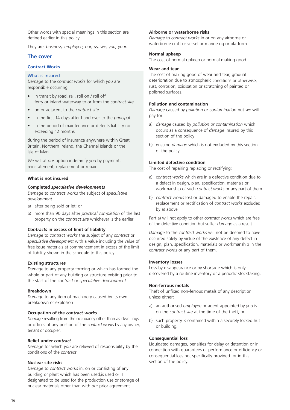Other words with special meanings in this section are defined earlier in this policy.

They are: *business, employee, our, us, we, you, your.*

## **The cover**

## **Contract Works**

## What is insured

*Damage* to the *contract works* for which *you* are responsible occurring:

- in transit by road, rail, roll on / roll off ferry or inland waterway to or from the *contract site*
- on or adjacent to the *contract site*
- in the first 14 days after hand over to the *principal*
- in the period of maintenance or defects liability not exceeding 12 months

during the period of insurance anywhere within Great Britain, Northern Ireland, the Channel Islands or the Isle of Man.

*We* will at *our* option indemnify *you* by payment, reinstatement, replacement or repair.

## **What is not insured**

## **Completed** *speculative developments*

*Damage* to *contract works* the subject of *speculative development*

- a) after being sold or let; or
- b) more than 90 days after *practical completion* of the last property on the *contract site* whichever is the earlier

## *Contracts* **in excess of limit of liability**

*Damage* to *contract works* the subject of any *contract* or *speculative development* with a value including the value of free issue materials at commencement in excess of the limit of liability shown in the schedule to this policy

## **Existing structures**

*Damage* to any property forming or which has formed the whole or part of any building or structure existing prior to the start of the *contract* or *speculative development*

#### **Breakdown**

*Damage* to any item of machinery caused by its own breakdown or explosion

## **Occupation of the** *contract works*

*Damage* resulting from the occupancy other than as dwellings or offices of any portion of the *contract works* by any owner, tenant or occupier.

#### **Relief under** *contract*

*Damage* for which *you* are relieved of responsibility by the conditions of the *contract*

#### **Nuclear site risks**

*Damage* to *contract works* in, on or consisting of any building or plant which has been used,is used or is designated to be used for the production use or storage of nuclear materials other than with *our* prior agreement

## **Airborne or waterborne risks**

*Damage* to *contract works* in or on any airborne or waterborne craft or vessel or marine rig or platform

## **Normal upkeep**

The cost of normal upkeep or normal making good

## **Wear and tear**

The cost of making good of wear and tear, gradual deterioration due to atmospheric conditions or otherwise, rust, corrosion, oxidisation or scratching of painted or polished surfaces.

## **Pollution and contamination**

*Damage* caused by *pollution or contamination* but *we* will pay for:

- a) *damage* caused by *pollution or contamination* which occurs as a consequence of *damage* insured by this section of the policy
- b) ensuing *damage* which is not excluded by this section of the policy.

## **Limited defective condition**

The cost of repairing replacing or rectifying:

- a) *contract works* which are in a defective condition due to a defect in design, plan, specification, materials or workmanship of such *contract works* or any part of them
- b) *contract works* lost or damaged to enable the repair, replacement or rectification of *contract works* excluded by a) above

Part a) will not apply to other *contract works* which are free of the defective condition but suffer *damage* as a result.

*Damage* to the *contract works* will not be deemed to have occurred solely by virtue of the existence of any defect in design, plan, specification, materials or workmanship in the *contract works* or any part of them.

#### **Inventory losses**

Loss by disappearance or by shortage which is only discovered by a routine inventory or a periodic stocktaking.

## **Non-ferrous metals**

Theft of unfixed non-ferrous metals of any description unless either:

- a) an authorised *employee* or agent appointed by *you* is on the *contract site* at the time of the theft, or
- b) such property is contained within a securely locked hut or building.

## **Consequential loss**

Liquidated damages, penalties for delay or detention or in connection with guarantees of performance or efficiency or consequential loss not specifically provided for in this section of the policy.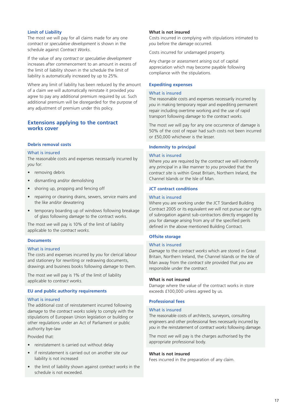## **Limit of Liability**

The most *we* will pay for all claims made for any one *contract* or *speculative development* is shown in the schedule against *Contract Works.*

If the value of any *contract* or *speculative development* increases after commencement to an amount in excess of the limit of liability shown in the schedule the limit of liability is automatically increased by up to 25%.

Where any limit of liability has been reduced by the amount of a claim *we* will automatically reinstate it provided *you* agree to pay any additional premium required by *us*. Such additional premium will be disregarded for the purpose of any adjustment of premium under this policy.

## **Extensions applying to the contract works cover**

## **Debris removal costs**

#### What is insured

The reasonable costs and expenses necessarily incurred by *you* for:

- removing debris
- dismantling and/or demolishing
- shoring up, propping and fencing off
- repairing or cleaning drains, sewers, service mains and the like and/or dewatering
- temporary boarding up of windows following breakage of glass following *damage* to the contract works.

The most *we* will pay is 10% of the limit of liability applicable to the *contract works*.

## **Documents**

## What is insured

The costs and expenses incurred by *you* for clerical labour and stationery for rewriting or redrawing documents, drawings and business books following *damage* to them.

The most *we* will pay is 1% of the limit of liability applicable to *contract works*.

## **EU and public authority requirements**

#### What is insured

The additional cost of reinstatement incurred following *damage* to the *contract works* solely to comply with the stipulations of European Union legislation or building or other regulations under an Act of Parliament or public authority bye-law

Provided that:

- reinstatement is carried out without delay
- if reinstatement is carried out on another site *our* liability is not increased
- the limit of liability shown against *contract works* in the schedule is not exceeded.

## **What is not insured**

Costs incurred in complying with stipulations intimated to *you* before the *damage* occurred.

Costs incurred for undamaged property.

Any charge or assessment arising out of capital appreciation which may become payable following compliance with the stipulations.

#### **Expediting expenses**

## What is insured

The reasonable costs and expenses necessarily incurred by *you* in making temporary repair and expediting permanent repair including overtime working and the use of rapid transport following *damage* to the *contract works*.

The most *we* will pay for any one occurrence of *damage* is 50% of the cost of repair had such costs not been incurred or £50,000 whichever is the lesser.

## **Indemnity to principal**

#### What is insured

Where *you* are required by the *contract we* will indemnify any *principal* in a like manner to *you* provided that the *contract site* is within Great Britain, Northern Ireland, the Channel Islands or the Isle of Man.

## **JCT contract conditions**

#### What is insured

Where you are working under the JCT Standard Building Contract 2005 or its equivalent *we* will not pursue *our* rights of subrogation against sub-contractors directly engaged by *you* for *damage* arising from any of the specified perils defined in the above mentioned Building Contract.

## **Offsite storage**

## What is insured

*Damage* to the *contract works* which are stored in Great Britain, Northern Ireland, the Channel Islands or the Isle of Man away from the *contract site* provided that *you* are responsible under the *contract*.

## **What is not insured**

Damage where the value of the contract works in store exceeds £100,000 unless agreed by us.

## **Professional fees**

#### What is insured

The reasonable costs of architects, surveyors, consulting engineers and other professional fees necessarily incurred by *you* in the reinstatement of *contract works* following *damage*.

The most *we* will pay is the charges authorised by the appropriate professional body.

#### **What is not insured**

Fees incurred in the preparation of any claim.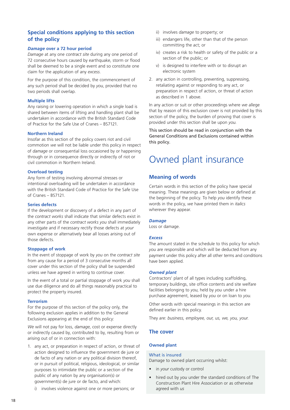## **Special conditions applying to this section of the policy**

## *Damage* **over a 72 hour period**

*Damage* at any one *contract site* during any one period of 72 consecutive hours caused by earthquake, storm or flood shall be deemed to be a single event and so constitute one claim for the application of any *excess*.

For the purpose of this condition, the commencement of any such period shall be decided by *you*, provided that no two periods shall overlap.

## **Multiple lifts**

Any raising or lowering operation in which a single load is shared between items of lifting and handling plant shall be undertaken in accordance with the British Standard Code of Practice for the Safe Use of Cranes – BS7121.

#### **Northern Ireland**

Insofar as this section of the policy covers riot and civil commotion *we* will not be liable under this policy in respect of *damage* or consequential loss occasioned by or happening through or in consequence directly or indirectly of riot or civil commotion in Northern Ireland.

## **Overload testing**

Any form of testing involving abnormal stresses or intentional overloading will be undertaken in accordance with the British Standard Code of Practice for the Safe Use of Cranes – BS7121.

## **Series defects**

If the development or discovery of a defect in any part of the *contract works* shall indicate that similar defects exist in any other parts of the *contract works you* shall immediately investigate and if necessary rectify those defects at *your* own expense or alternatively bear all losses arising out of those defects.

#### **Stoppage of work**

In the event of stoppage of work by *you* on the *contract site* from any cause for a period of 3 consecutive months all cover under this section of the policy shall be suspended unless *we* have agreed in writing to continue cover.

In the event of a total or partial stoppage of work *you* shall use due diligence and do all things reasonably practical to protect the property insured.

## **Terrorism**

For the purpose of this section of the policy only, the following exclusion applies in addition to the General Exclusions appearing at the end of this policy:

*We* will not pay for loss, *damage*, cost or expense directly or indirectly caused by, contributed to by, resulting from or arising out of or in connection with:

- 1. any act, or preparation in respect of action, or threat of action designed to influence the government de jure or de facto of any nation or any political division thereof, or in pursuit of political, religious, ideological, or similar purposes to intimidate the public or a section of the public of any nation by any organisation(s) or government(s) de jure or de facto, and which:
	- i) involves violence against one or more persons; or
- ii) involves *damage* to property; or
- iii) endangers life, other than that of the person committing the act; or
- iv) creates a risk to health or safety of the public or a section of the public; or
- v) is designed to interfere with or to disrupt an electronic system
- 2. any action in controlling, preventing, suppressing, retaliating against or responding to any act, or preparation in respect of action, or threat of action as described in 1 above.

In any action or suit or other proceedings where *we* allege that by reason of this exclusion cover is not provided by this section of the policy, the burden of proving that cover is provided under this section shall be upon *you*.

This section should be read in conjunction with the General Conditions and Exclusions contained within this policy.

# Owned plant insurance

## **Meaning of words**

Certain words in this section of the policy have special meaning. These meanings are given below or defined at the beginning of the policy. To help *you* identify these words in the policy, *we* have printed them in *italics* wherever they appear.

#### *Damage*

Loss or damage.

## *Excess*

The amount stated in the schedule to this policy for which *you* are responsible and which will be deducted from any payment under this policy after all other terms and conditions have been applied.

#### *Owned plant*

Contractors' plant of all types including scaffolding, temporary buildings, site office contents and site welfare facilities belonging to *you*, held by *you* under a hire purchase agreement, leased by *you* or on loan to *you*.

Other words with special meanings in this section are defined earlier in this policy.

They are: *business, employee, our, us, we, you, your.*

## **The cover**

## **Owned plant**

## What is insured

Damage to owned plant occurring whilst:

- in *your* custody or control
- hired out by *you* under the standard conditions of The Construction Plant Hire Association or as otherwise agreed with *us*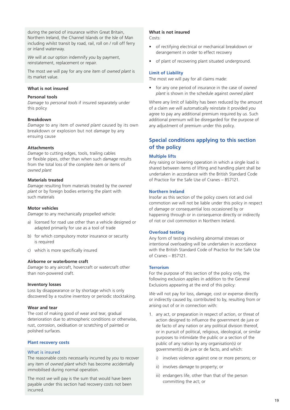during the period of insurance within Great Britain, Northern Ireland, the Channel Islands or the Isle of Man including whilst transit by road, rail, roll on / roll off ferry or inland waterway.

*We* will at *our* option indemnify *you* by payment, reinstatement, replacement or repair.

The most *we* will pay for any one item of *owned plant* is its market value.

## **What is not insured**

#### **Personal tools**

*Damage* to *personal tools* if insured separately under this policy

## **Breakdown**

*Damage* to any item of *owned plant* caused by its own breakdown or explosion but not *damage* by any ensuing cause

## **Attachments**

*Damage* to cutting edges, tools, trailing cables or flexible pipes, other than when such *damage* results from the total loss of the complete item or items of *owned plant*

## **Materials treated**

*Damage* resulting from materials treated by the *owned plant* or by foreign bodies entering the plant with such materials

#### **Motor vehicles**

*Damage* to any mechanically propelled vehicle:

- a) licensed for road use other than a vehicle designed or adapted primarily for use as a tool of trade
- b) for which compulsory motor insurance or security is required
- c) which is more specifically insured

#### **Airborne or waterborne craft**

*Damage* to any aircraft, hovercraft or watercraft other than non-powered craft.

## **Inventory losses**

Loss by disappearance or by shortage which is only discovered by a routine inventory or periodic stocktaking.

## **Wear and tear**

The cost of making good of wear and tear, gradual deterioration due to atmospheric conditions or otherwise, rust, corrosion, oxidisation or scratching of painted or polished surfaces.

## **Plant recovery costs**

## What is insured

The reasonable costs necessarily incurred by *you* to recover any item of *owned plant* which has become accidentally immobilised during normal operation.

The most *we* will pay is the sum that would have been payable under this section had recovery costs not been incurred.

## **What is not insured**

Costs:

- of rectifying electrical or mechanical breakdown or derangement in order to effect recovery
- of plant of recovering plant situated underground.

#### **Limit of Liability**

The most *we* will pay for all claims made:

• for any one period of insurance in the case of *owned plant* is shown in the schedule against *owned plant*

Where any limit of liability has been reduced by the amount of a claim *we* will automatically reinstate it provided *you* agree to pay any additional premium required by *us*. Such additional premium will be disregarded for the purpose of any adjustment of premium under this policy.

## **Special conditions applying to this section of the policy**

## **Multiple lifts**

Any raising or lowering operation in which a single load is shared between items of lifting and handling plant shall be undertaken in accordance with the British Standard Code of Practice for the Safe Use of Cranes – BS7121.

## **Northern Ireland**

Insofar as this section of the policy covers riot and civil commotion *we* will not be liable under this policy in respect of *damage* or consequential loss occasioned by or happening through or in consequence directly or indirectly of riot or civil commotion in Northern Ireland.

## **Overload testing**

Any form of testing involving abnormal stresses or intentional overloading will be undertaken in accordance with the British Standard Code of Practice for the Safe Use of Cranes – BS7121.

#### **Terrorism**

For the purpose of this section of the policy only, the following exclusion applies in addition to the General Exclusions appearing at the end of this policy:

*We* will not pay for loss, *damage*, cost or expense directly or indirectly caused by, contributed to by, resulting from or arising out of or in connection with:

- 1. any act, or preparation in respect of action, or threat of action designed to influence the government de jure or de facto of any nation or any political division thereof, or in pursuit of political, religious, ideological, or similar purposes to intimidate the public or a section of the public of any nation by any organisation(s) or government(s) de jure or de facto, and which:
	- i) involves violence against one or more persons; or
	- ii) involves *damage* to property; or
	- iii) endangers life, other than that of the person committing the act; or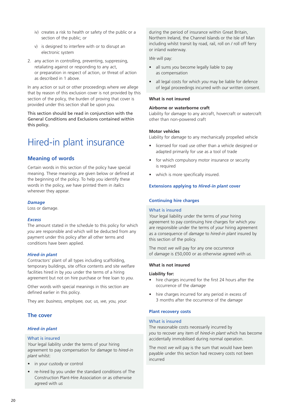- iv) creates a risk to health or safety of the public or a section of the public; or
- v) is designed to interfere with or to disrupt an electronic system
- 2. any action in controlling, preventing, suppressing, retaliating against or responding to any act, or preparation in respect of action, or threat of action as described in 1 above.

In any action or suit or other proceedings where *we* allege that by reason of this exclusion cover is not provided by this section of the policy, the burden of proving that cover is provided under this section shall be upon *you*.

This section should be read in conjunction with the General Conditions and Exclusions contained within this policy.

# Hired-in plant insurance

## **Meaning of words**

Certain words in this section of the policy have special meaning. These meanings are given below or defined at the beginning of the policy. To help *you* identify these words in the policy, *we* have printed them in *italics* wherever they appear.

## *Damage*

Loss or damage.

## *Excess*

The amount stated in the schedule to this policy for which *you* are responsible and which will be deducted from any payment under this policy after all other terms and conditions have been applied.

## *Hired-in plant*

Contractors' plant of all types including scaffolding, temporary buildings, site office contents and site welfare facilities hired in by *you* under the terms of a hiring agreement but not on hire purchase or free loan to *you*.

Other words with special meanings in this section are defined earlier in this policy.

They are: *business, employee, our, us, we, you, your.*

## **The cover**

## *Hired-in plant*

## What is insured

*Your* legal liability under the terms of your hiring agreement to pay compensation for *damage* to *hired*-*in plant* whilst:

- in your custody or control
- re-hired by you under the standard conditions of The Construction Plant-Hire Association or as otherwise agreed with *us*

during the period of insurance within Great Britain, Northern Ireland, the Channel Islands or the Isle of Man including whilst transit by road, rail, roll on / roll off ferry or inland waterway.

*We* will pay:

- all sums *you* become legally liable to pay as compensation
- all legal costs for which *you* may be liable for defence of legal proceedings incurred with *our* written consent.

## **What is not insured**

## **Airborne or waterborne craft**

Liability for *damage* to any aircraft, hovercraft or watercraft other than non-powered craft

## **Motor vehicles**

Liability for *damage* to any mechanically propelled vehicle

- licensed for road use other than a vehicle designed or adapted primarily for use as a tool of trade
- for which compulsory motor insurance or security is required
- which is more specifically insured.

## **Extensions applying to** *Hired-in plant* **cover**

## **Continuing hire charges**

## What is insured

*Your* legal liability under the terms of *your* hiring agreement to pay continuing hire charges for which *you* are responsible under the terms of *your* hiring agreement as a consequence of *damage* to *hired*-*in plant* insured by this section of the policy.

The most *we* will pay for any one occurrence of *damage* is £50,000 or as otherwise agreed with *us*.

## **What is not insured**

## **Liability for:**

- hire charges incurred for the first 24 hours after the occurrence of the *damage*
- hire charges incurred for any period in excess of 3 months after the occurrence of the *damage*

## **Plant recovery costs**

## What is insured

The reasonable costs necessarily incurred by *you* to recover any item of *hired*-*in plant* which has become accidentally immobilised during normal operation.

The most *we* will pay is the sum that would have been payable under this section had recovery costs not been incurred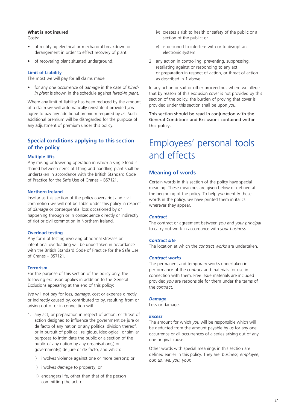## **What is not insured**

Costs:

- of rectifying electrical or mechanical breakdown or derangement in order to effect recovery of plant
- of recovering plant situated underground.

## **Limit of Liability**

The most *we* will pay for all claims made:

• for any one occurrence of *damage* in the case of *hiredin plant* is shown in the schedule against *hired*-*in plant*.

Where any limit of liability has been reduced by the amount of a claim *we* will automatically reinstate it provided *you* agree to pay any additional premium required by *us*. Such additional premium will be disregarded for the purpose of any adjustment of premium under this policy.

## **Special conditions applying to this section of the policy**

## **Multiple lifts**

Any raising or lowering operation in which a single load is shared between items of lifting and handling plant shall be undertaken in accordance with the British Standard Code of Practice for the Safe Use of Cranes – BS7121.

## **Northern Ireland**

Insofar as this section of the policy covers riot and civil commotion *we* will not be liable under this policy in respect of *damage* or consequential loss occasioned by or happening through or in consequence directly or indirectly of riot or civil commotion in Northern Ireland.

## **Overload testing**

Any form of testing involving abnormal stresses or intentional overloading will be undertaken in accordance with the British Standard Code of Practice for the Safe Use of Cranes – BS7121.

#### **Terrorism**

For the purpose of this section of the policy only, the following exclusion applies in addition to the General Exclusions appearing at the end of this policy:

*We* will not pay for loss, *damage*, cost or expense directly or indirectly caused by, contributed to by, resulting from or arising out of or in connection with:

- 1. any act, or preparation in respect of action, or threat of action designed to influence the government de jure or de facto of any nation or any political division thereof, or in pursuit of political, religious, ideological, or similar purposes to intimidate the public or a section of the public of any nation by any organisation(s) or government(s) de jure or de facto, and which:
	- i) involves violence against one or more persons; or
	- ii) involves *damage* to property; or
	- iii) endangers life, other than that of the person committing the act; or
- iv) creates a risk to health or safety of the public or a section of the public; or
- v) is designed to interfere with or to disrupt an electronic system
- 2. any action in controlling, preventing, suppressing, retaliating against or responding to any act, or preparation in respect of action, or threat of action as described in 1 above.

In any action or suit or other proceedings where *we* allege that by reason of this exclusion cover is not provided by this section of the policy, the burden of proving that cover is provided under this section shall be upon *you*.

This section should be read in conjunction with the General Conditions and Exclusions contained within this policy.

# Employees' personal tools and effects

## **Meaning of words**

Certain words in this section of the policy have special meaning. These meanings are given below or defined at the beginning of the policy. To help *you* identify these words in the policy, *we* have printed them in italics wherever they appear.

#### *Contract*

The contract or agreement between *you* and *your principal* to carry out work in accordance with *your business.*

#### *Contract site*

The location at which the *contract works* are undertaken.

#### *Contract works*

The permanent and temporary works undertaken in performance of the *contract* and materials for use in connection with them. Free issue materials are included provided *you* are responsible for them under the terms of the *contract*.

#### *Damage*

Loss or damage.

#### *Excess*

The amount for which *you* will be responsible which will be deducted from the amount payable by *us* for any one occurrence or all occurrences of a series arising out of any one original cause.

Other words with special meanings in this section are defined earlier in this policy. They are: *business, employee, our, us, we, you, your.*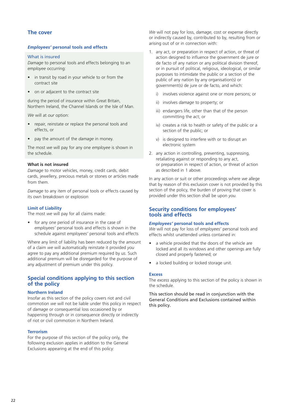## **The cover**

## *Employees'* **personal tools and effects**

## What is insured

*Damage* to personal tools and effects belonging to an *employee* occurring:

- in transit by road in your vehicle to or from the contract site
- on or adjacent to the contract site

during the period of insurance within Great Britain, Northern Ireland, the Channel Islands or the Isle of Man.

*We* will at *our* option:

- repair, reinstate or replace the personal tools and effects, or
- pay the amount of the *damage* in money.

The most *we* will pay for any one *employee* is shown in the schedule.

## **What is not insured**

*Damage* to motor vehicles, money, credit cards, debit cards, jewellery, precious metals or stones or articles made from them.

*Damage* to any item of personal tools or effects caused by its own breakdown or explosion

#### **Limit of Liability**

The most *we* will pay for all claims made:

• for any one period of insurance in the case of *employees'* personal tools and effects is shown in the schedule against *employees'* personal tools and effects

Where any limit of liability has been reduced by the amount of a claim *we* will automatically reinstate it provided *you* agree to pay any additional premium required by *us*. Such additional premium will be disregarded for the purpose of any adjustment of premium under this policy.

## **Special conditions applying to this section of the policy**

#### **Northern Ireland**

Insofar as this section of the policy covers riot and civil commotion *we* will not be liable under this policy in respect of *damage* or consequential loss occasioned by or happening through or in consequence directly or indirectly of riot or civil commotion in Northern Ireland.

#### **Terrorism**

For the purpose of this section of the policy only, the following exclusion applies in addition to the General Exclusions appearing at the end of this policy:

*We* will not pay for loss, *damage*, cost or expense directly or indirectly caused by, contributed to by, resulting from or arising out of or in connection with:

- 1. any act, or preparation in respect of action, or threat of action designed to influence the government de jure or de facto of any nation or any political division thereof, or in pursuit of political, religious, ideological, or similar purposes to intimidate the public or a section of the public of any nation by any organisation(s) or government(s) de jure or de facto, and which:
	- i) involves violence against one or more persons; or
	- ii) involves *damage* to property; or
	- iii) endangers life, other than that of the person committing the act; or
	- iv) creates a risk to health or safety of the public or a section of the public; or
	- v) is designed to interfere with or to disrupt an electronic system
- 2. any action in controlling, preventing, suppressing, retaliating against or responding to any act, or preparation in respect of action, or threat of action as described in 1 above.

In any action or suit or other proceedings where *we* allege that by reason of this exclusion cover is not provided by this section of the policy, the burden of proving that cover is provided under this section shall be upon *you*.

## **Security conditions for employees' tools and effects**

## *Employees'* **personal tools and effects**

*We* will not pay for loss of *employees'* personal tools and effects whilst unattended unless contained in:

- a vehicle provided that the doors of the vehicle are locked and all its windows and other openings are fully closed and properly fastened; or
- a locked building or locked storage unit.

## **Excess**

The *excess* applying to this section of the policy is shown in the schedule.

This section should be read in conjunction with the General Conditions and Exclusions contained within this policy.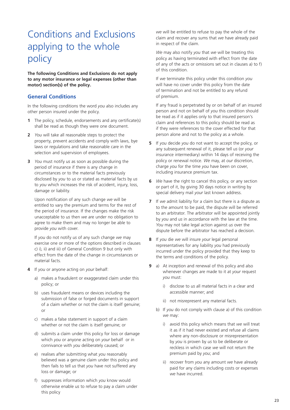# Conditions and Exclusions applying to the whole policy

**The following Conditions and Exclusions do not apply to any motor insurance or legal expenses (other than motor) section(s) of the policy.**

## **General Conditions**

In the following conditions the word *you* also includes any other person insured under the policy.

- **1** The policy, schedule, endorsements and any certificate(s) shall be read as though they were one document.
- **2** *You* will take all reasonable steps to protect the property, prevent accidents and comply with laws, bye laws or regulations and take reasonable care in the selection and supervision of employees.
- **3** *You* must notify *us* as soon as possible during the period of insurance if there is any change in circumstances or to the material facts previously disclosed by *you* to *us* or stated as material facts by *us* to *you* which increases the risk of accident, injury, loss, damage or liability.

Upon notification of any such change *we* will be entitled to vary the premium and terms for the rest of the period of insurance. If the changes make the risk unacceptable to *us* then *we* are under no obligation to agree to make them and may no longer be able to provide *you* with cover.

If *you* do not notify *us* of any such change *we* may exercise one or more of the options described in clauses c) i), ii) and iii) of General Condition 9 but only with effect from the date of the change in circumstances or material facts.

- **4** If *you* or anyone acting on *your* behalf:
	- a) makes a fraudulent or exaggerated claim under this policy; or
	- b) uses fraudulent means or devices including the submission of false or forged documents in support of a claim whether or not the claim is itself genuine; or
	- c) makes a false statement in support of a claim whether or not the claim is itself genuine; or
	- d) submits a claim under this policy for loss or damage which *you* or anyone acting on *your* behalf or in connivance with *you* deliberately caused; or
	- e) realises after submitting what *you* reasonably believed was a genuine claim under this policy and then fails to tell *us* that *you* have not suffered any loss or damage; or
	- f) suppresses information which *you* know would otherwise enable *us* to refuse to pay a claim under this policy

*we* will be entitled to refuse to pay the whole of the claim and recover any sums that *we* have already paid in respect of the claim.

*We* may also notify *you* that *we* will be treating this policy as having terminated with effect from the date of any of the acts or omissions set out in clauses a) to f) of this condition.

If *we* terminate this policy under this condition *you* will have no cover under this policy from the date of termination and not be entitled to any refund of premium.

If any fraud is perpetrated by or on behalf of an insured person and not on behalf of *you* this condition should be read as if it applies only to that insured person's claim and references to this policy should be read as if they were references to the cover effected for that person alone and not to the policy as a whole.

- **5** If *you* decide *you* do not want to accept the policy, or any subsequent renewal of it, please tell *us* (or *your* insurance intermediary) within 14 days of receiving the policy or renewal notice. *We* may, at *our* discretion, charge *you* for the time *you* have been on cover, including insurance premium tax.
- **6** *We* have the right to cancel this policy, or any section or part of it, by giving 30 days notice in writing by special delivery mail *your* last known address.
- **7** If *we* admit liability for a claim but there is a dispute as to the amount to be paid, the dispute will be referred to an arbitrator. The arbitrator will be appointed jointly by *you* and *us* in accordance with the law at the time. *You* may not take legal action against *us* over the dispute before the arbitrator has reached a decision.
- **8** If *you* die *we* will insure *your* legal personal representatives for any liability *you* had previously incurred under the policy provided that they keep to the terms and conditions of the policy.
- **9** a) At inception and renewal of this policy and also whenever changes are made to it at *your* request *you* must:
	- i) disclose to *us* all material facts in a clear and accessible manner; and
	- ii) not misrepresent any material facts.
	- b) If *you* do not comply with clause a) of this condition *we* may:
		- i) avoid this policy which means that *we* will treat it as if it had never existed and refuse all claims where any non-disclosure or misrepresentation by *you* is proven by *us* to be deliberate or reckless in which case *we* will not return the premium paid by *you*; and
		- ii) recover from *you* any amount *we* have already paid for any claims including costs or expenses *we* have incurred.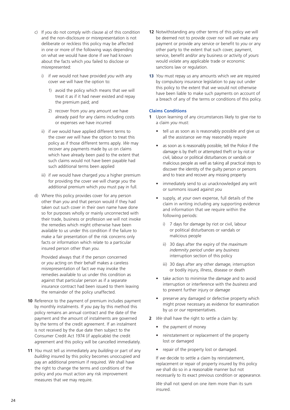- c) If *you* do not comply with clause a) of this condition and the non-disclosure or misrepresentation is not deliberate or reckless this policy may be affected in one or more of the following ways depending on what *we* would have done if *we* had known about the facts which *you* failed to disclose or misrepresented:
	- i) if *we* would not have provided *you* with any cover *we* will have the option to:
		- 1) avoid the policy which means that *we* will treat it as if it had never existed and repay the premium paid; and
		- 2) recover from *you* any amount *we* have already paid for any claims including costs or expenses *we* have incurred
	- ii) if *we* would have applied different terms to the cover *we* will have the option to treat this policy as if those different terms apply. *We* may recover any payments made by *us* on claims which have already been paid to the extent that such claims would not have been payable had such additional terms been applied
	- iii) if *we* would have charged *you* a higher premium for providing the cover *we* will charge *you* the additional premium which *you* must pay in full.
- d) Where this policy provides cover for any person other than *you* and that person would if they had taken out such cover in their own name have done so for purposes wholly or mainly unconnected with their trade, business or profession *we* will not invoke the remedies which might otherwise have been available to *us* under this condition if the failure to make a fair presentation of the risk concerns only facts or information which relate to a particular insured person other than *you*.

Provided always that if the person concerned or *you* acting on their behalf makes a careless misrepresentation of fact *we* may invoke the remedies available to *us* under this condition as against that particular person as if a separate insurance contract had been issued to them leaving the remainder of the policy unaffected.

- **10** Reference to the payment of premium includes payment by monthly instalments. If *you* pay by this method this policy remains an annual contract and the date of the payment and the amount of instalments are governed by the terms of the credit agreement. If an instalment is not received by the due date then subject to the Consumer Credit Act 1974 (if applicable) the credit agreement and this policy will be cancelled immediately.
- **11** *You* must tell *us* immediately any *building* or part of any *building* insured by this policy becomes unoccupied and pay an additional premium if required. *We* shall have the right to change the terms and conditions of the policy and *you* must action any risk improvement measures that *we* may require.
- **12** Notwithstanding any other terms of this policy *we* will be deemed not to provide cover nor will *we* make any payment or provide any service or benefit to *you* or any other party to the extent that such cover, payment, service, benefit and/or any business or activity of *yours* would violate any applicable trade or economic sanctions law or regulation.
- **13** *You* must repay *us* any amounts which *we* are required by compulsory insurance legislation to pay out under this policy to the extent that *we* would not otherwise have been liable to make such payments on account of a breach of any of the terms or conditions of this policy.

## **Claims Conditions**

- **1** Upon learning of any circumstances likely to give rise to a claim *you* must:
	- tell *us* as soon as is reasonably possible and give *us* all the assistance *we* may reasonably require
	- as soon as is reasonably possible, tell the Police if the *damage* is by theft or attempted theft or by riot or civil, labour or political disturbances or vandals or malicious people as well as taking all practical steps to discover the identity of the guilty person or persons and to trace and recover any missing property
	- immediately send to *us* unacknowledged any writ or summons issued against *you*
	- supply, at *your* own expense, full details of the claim in writing including any supporting evidence and information that *we* require within the following periods:
		- i) 7 days for *damage* by riot or civil, labour or political disturbances or vandals or malicious people
		- ii) 30 days after the expiry of the *maximum indemnity period* under any *business* interruption section of this policy
		- iii) 30 days after any other *damage*, interruption or bodily injury, illness, disease or death
	- take action to minimise the *damage* and to avoid interruption or interference with the *business* and to prevent further injury or *damage*
	- preserve any damaged or defective property which might prove necessary as evidence for examination by *us* or *our* representatives.
- **2** *We* shall have the right to settle a claim by:
	- the payment of money
	- reinstatement or replacement of the property lost or damaged
	- repair of the property lost or damaged.

If *we* decide to settle a claim by reinstatement, replacement or repair of property insured by this policy *we* shall do so in a reasonable manner but not necessarily to its exact previous condition or appearance.

*We* shall not spend on one item more than its sum insured.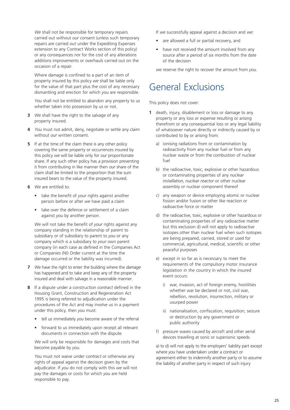*We* shall not be responsible for temporary repairs carried out without *our* consent (unless such temporary repairs are carried out under the Expediting Expenses extension to any Contract Works section of this policy) or any consequences nor for the cost of any alterations additions improvements or overhauls carried out on the occasion of a repair.

Where *damage* is confined to a part of an item of property insured by this policy *we* shall be liable only for the value of that part plus the cost of any necessary dismantling and erection for which *you* are responsible.

*You* shall not be entitled to abandon any property to *us* whether taken into possession by *us* or not.

- **3** *We* shall have the right to the salvage of any property insured.
- **4** *You* must not admit, deny, negotiate or settle any claim without *our* written consent.
- **5** If at the time of the claim there is any other policy covering the same property or occurrences insured by this policy *we* will be liable only for *our* proportionate share. If any such other policy has a provision preventing it from contributing in like manner then *our* share of the claim shall be limited to the proportion that the sum insured bears to the value of the property insured.
- **6** *We* are entitled to:
	- take the benefit of *your* rights against another person before or after *we* have paid a claim
	- take over the defence or settlement of a claim against *you* by another person.

*We* will not take the benefit of *your* rights against any company standing in the relationship of parent to subsidiary or of subsidiary to parent to *you* or any company which is a subsidiary to *your* own parent company (in each case as defined in the Companies Act or Companies (NI) Order current at the time the *damage* occurred or the liability was incurred).

- **7** *We* have the right to enter the building where the *damage* has happened and to take and keep any of the property insured and deal with salvage in a reasonable manner.
- **8** If a dispute under a construction *contract* defined in the Housing Grant, Construction and Regeneration Act 1995 is being referred to adjudication under the procedures of the Act and may involve *us* in a payment under this policy, then *you* must:
	- tell *us* immediately *you* become aware of the referral
	- forward to *us* immediately upon receipt all relevant documents in connection with the dispute.

*We* will only be responsible for damages and costs that become payable by *you*.

*You* must not waive under *contract* or otherwise any rights of appeal against the decision given by the adjudicator. If *you* do not comply with this *we* will not pay the damages or costs for which *you* are held responsible to pay.

If *we* successfully appeal against a decision and *we*:

- are allowed a full or partial recovery, and
- have not received the amount involved from any source after a period of six months from the date of the decision

*we* reserve the right to recover the amount from *you*.

# General Exclusions

This policy does not cover:

- **1** death, injury, disablement or loss or damage to any property or any loss or expense resulting or arising therefrom or any consequential loss or any legal liability of whatsoever nature directly or indirectly caused by or contributed to by or arising from:
	- a) ionising radiations from or contamination by radioactivity from any nuclear fuel or from any nuclear waste or from the combustion of nuclear fuel
	- b) the radioactive, toxic, explosive or other hazardous or contaminating properties of any *nuclear installation*, *nuclear reactor* or other nuclear assembly or nuclear component thereof
	- c) any weapon or device employing atomic or nuclear fission and/or fusion or other like reaction or radioactive force or matter
	- d) the radioactive, toxic, explosive or other hazardous or contaminating properties of any radioactive matter but this exclusion d) will not apply to radioactive isotopes other than nuclear fuel when such isotopes are being prepared, carried, stored or used for commercial, agricultural, medical, scientific or other peaceful purposes
	- e) except in so far as is necessary to meet the requirements of the compulsory motor insurance legislation in the country in which the insured event occurs:
		- i) war, invasion, act of foreign enemy, hostilities whether war be declared or not, civil war, rebellion, revolution, insurrection, military or usurped power
		- ii) nationalisation, confiscation, requisition, seizure or destruction by any government or public authority
	- f) pressure waves caused by aircraft and other aerial devices travelling at sonic or supersonic speeds.

a) to d) will not apply to the employers' liability part except where *you* have undertaken under a contract or agreement either to indemnify another party or to assume the liability of another party in respect of such injury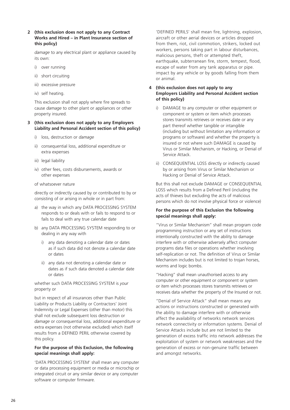**2 (this exclusion does not apply to any Contract Works and Hired – in Plant Insurance section of this policy)**

*damage* to any electrical plant or appliance caused by its own:

- i) over running
- ii) short circuiting
- iii) excessive pressure
- iv) self heating.

This exclusion shall not apply where fire spreads to cause *damage* to other plant or appliances or other property insured.

## **3 (this exclusion does not apply to any Employers Liability and Personal Accident section of this policy)**

- i) loss, destruction or *damage*
- ii) consequential loss, additional expenditure or extra expenses
- iii) legal liability
- iv) other fees, costs disbursements, awards or other expenses
- of whatsoever nature

directly or indirectly caused by or contributed to by or consisting of or arising in whole or in part from:

- a) the way in which any DATA PROCESSING SYSTEM responds to or deals with or fails to respond to or fails to deal with any true calendar date
- b) any DATA PROCESSING SYSTEM responding to or dealing in any way with
	- i) any data denoting a calendar date or dates as if such data did not denote a calendar date or dates
	- ii) any data not denoting a calendar date or dates as if such data denoted a calendar date or dates

whether such DATA PROCESSING SYSTEM is *your* property or

but in respect of all insurances other than Public Liability or Products Liability or Contractors' Joint Indemnity or Legal Expenses (other than motor) this shall not exclude subsequent loss destruction or *damage* or consequential loss, additional expenditure or extra expenses (not otherwise excluded) which itself results from a DEFINED PERIL otherwise covered by this policy.

## **For the purpose of this Exclusion, the following special meanings shall apply:**

'DATA PROCESSING SYSTEM' shall mean any computer or data processing equipment or media or microchip or integrated circuit or any similar device or any computer software or computer firmware.

'DEFINED PERILS' shall mean fire, lightning, explosion, aircraft or other aerial devices or articles dropped from them, riot, civil commotion, strikers, locked out workers, persons taking part in labour disturbances, malicious persons, theft or attempted theft, earthquake, subterranean fire, storm, tempest, flood, escape of water from any tank apparatus or pipe. impact by any vehicle or by goods falling from them or animal.

## **4 (this exclusion does not apply to any Employers Liability and Personal Accident section of this policy)**

- i) DAMAGE to any computer or other equipment or component or system or item which processes stores transmits retrieves or receives date or any part thereof whether tangible or intangible (including but without limitation any information or programs or software) and whether the property is insured or not where such DAMAGE is caused by Virus or Similar Mechanism, or Hacking, or Denial of Service Attack.
- ii) CONSEQUENTIAL LOSS directly or indirectly caused by or arising from Virus or Similar Mechanism or Hacking or Denial of Service Attack.

But this shall not exclude DAMAGE or CONSEQUENTIAL LOSS which results from a Defined Peril (including the acts of thieves but excluding the acts of malicious persons which do not involve physical force or violence)

## **For the purpose of this Exclusion the following special meanings shall apply:**

"Virus or Similar Mechanism" shall mean program code programming instruction or any set of instructions intentionally constructed with the ability to damage interfere with or otherwise adversely affect computer programs data files or operations whether involving self-replication or not. The definition of Virus or Similar Mechanism includes but is not limited to trojan horses, worms and logic bombs.

"Hacking" shall mean unauthorised access to any computer or other equipment or component or system or item which processes stores transmits retrieves or receives data whether the property of the Insured or not.

"Denial of Service Attack" shall mean means any actions or instructions constructed or generated with the ability to damage interfere with or otherwise affect the availability of networks network services network connectivity or information systems. Denial of Service Attacks include but are not limited to the generation of excess traffic into network addresses the exploitation of system or network weaknesses and the generation of excess or non-genuine traffic between and amongst networks.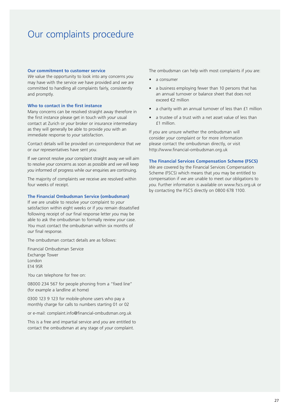# Our complaints procedure

#### **Our commitment to customer service**

*We* value the opportunity to look into any concerns *you* may have with the service *we* have provided and *we* are committed to handling all complaints fairly, consistently and promptly.

#### **Who to contact in the first instance**

Many concerns can be resolved straight away therefore in the first instance please get in touch with *your* usual contact at Zurich or *your* broker or insurance intermediary as they will generally be able to provide *you* with an immediate response to *your* satisfaction.

Contact details will be provided on correspondence that *we* or *our* representatives have sent *you*.

If *we* cannot resolve *your* complaint straight away *we* will aim to resolve *your* concerns as soon as possible and *we* will keep *you* informed of progress while *our* enquiries are continuing.

The majority of complaints *we* receive are resolved within four weeks of receipt.

#### **The Financial Ombudsman Service (ombudsman)**

If *we* are unable to resolve *your* complaint to *your* satisfaction within eight weeks or if *you* remain dissatisfied following receipt of *our* final response letter *you* may be able to ask the ombudsman to formally review *your* case. *You* must contact the ombudsman within six months of *our* final response.

The ombudsman contact details are as follows:

Financial Ombudsman Service Exchange Tower London E14 9SR

*You* can telephone for free on:

08000 234 567 for people phoning from a "fixed line" (for example a landline at home)

0300 123 9 123 for mobile-phone users who pay a monthly charge for calls to numbers starting 01 or 02

or e-mail: complaint.info@financial-ombudsman.org.uk

This is a free and impartial service and *you* are entitled to contact the ombudsman at any stage of *your* complaint.

The ombudsman can help with most complaints if *you* are:

- a consumer
- a business employing fewer than 10 persons that has an annual turnover or balance sheet that does not exceed €2 million
- a charity with an annual turnover of less than £1 million
- a trustee of a trust with a net asset value of less than £1 million.

If *you* are unsure whether the ombudsman will consider *your* complaint or for more information please contact the ombudsman directly, or visit http://www.financial-ombudsman.org.uk

**The Financial Services Compensation Scheme (FSCS)**

*We* are covered by the Financial Services Compensation Scheme (FSCS) which means that *you* may be entitled to compensation if *we* are unable to meet *our* obligations to *you*. Further information is available on www.fscs.org.uk or by contacting the FSCS directly on 0800 678 1100.